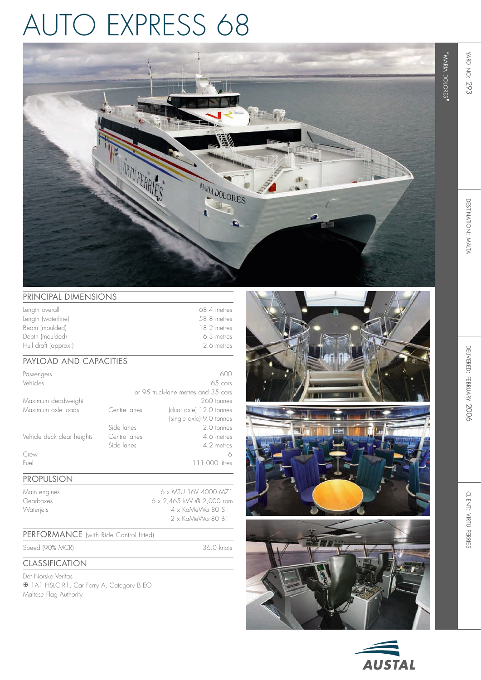## auto express 68



## PRINCIPAL DIMENSIONS

| Length overall       | 68.4 metres |
|----------------------|-------------|
| Length (waterline)   | 58.8 metres |
| Beam (moulded)       | 18.2 metres |
| Depth (moulded)      | 6.3 metres  |
| Hull draft (approx.) | 26 metres   |

### Payload and capacities

| Passengers                 |              | 600                                 |
|----------------------------|--------------|-------------------------------------|
| Vehicles                   |              | $65 \text{ cars}$                   |
|                            |              | or 95 truck-lane metres and 35 cars |
| Maximum deadweight         |              | 260 tonnes                          |
| Maximum axle loads         | Centre lanes | (dual axle) 12.0 tonnes             |
|                            |              | (single axle) 9.0 tonnes            |
|                            | Side lanes   | 2.0 tonnes                          |
| Vehicle deck clear heights | Centre lanes | 4.6 metres                          |
|                            | Side lanes   | 4.2 metres                          |
| Crew                       |              | 6                                   |
| Fuel                       |              | 111,000 litres                      |
|                            |              |                                     |

#### Propulsion

Main engines 6 x MTU 16V 4000 M71 Gearboxes 6 x 2,465 kW @ 2,000 rpm Waterjets 4 x KaMeWa 80 S11 2 x KaMeWa 80 B11

## PERFORMANCE (with Ride Control fitted)

Speed (90% MC R

) 36.0 knots

## Classification

Det Norske Veritas **X** 1A1 HSLC R1, Car Ferry A, Category B EO Maltese Flag Authority









"maria

dolores"